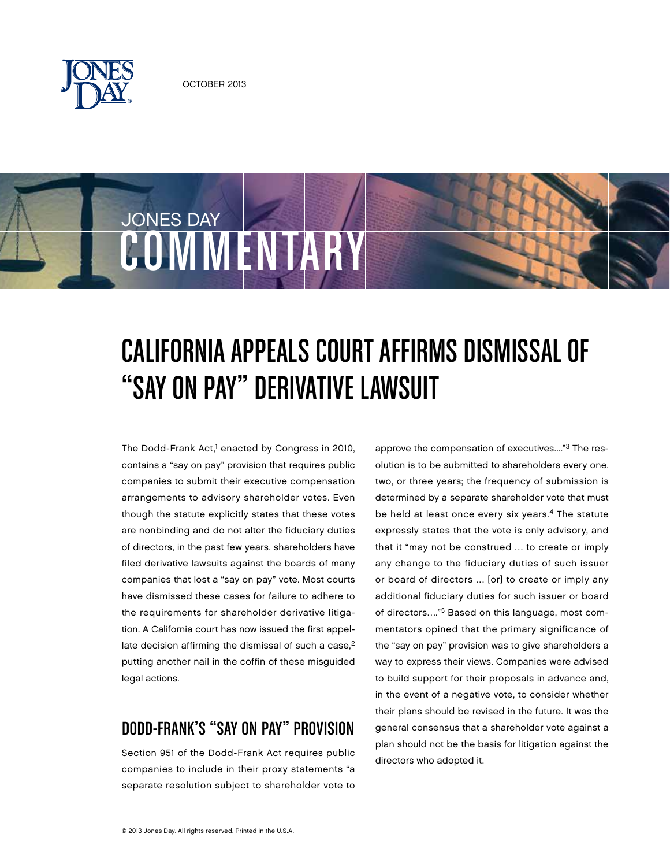

COMMENTARY

JONES DAY

# California Appeals Court Affirms Dismissal of "Say on Pay" Derivative Lawsuit

The Dodd-Frank Act,<sup>1</sup> enacted by Congress in 2010, contains a "say on pay" provision that requires public companies to submit their executive compensation arrangements to advisory shareholder votes. Even though the statute explicitly states that these votes are nonbinding and do not alter the fiduciary duties of directors, in the past few years, shareholders have filed derivative lawsuits against the boards of many companies that lost a "say on pay" vote. Most courts have dismissed these cases for failure to adhere to the requirements for shareholder derivative litigation. A California court has now issued the first appellate decision affirming the dismissal of such a case,<sup>2</sup> putting another nail in the coffin of these misguided legal actions.

# Dodd-Frank's "Say on Pay" Provision

Section 951 of the Dodd-Frank Act requires public companies to include in their proxy statements "a separate resolution subject to shareholder vote to approve the compensation of executives...."3 The resolution is to be submitted to shareholders every one, two, or three years; the frequency of submission is determined by a separate shareholder vote that must be held at least once every six years.<sup>4</sup> The statute expressly states that the vote is only advisory, and that it "may not be construed … to create or imply any change to the fiduciary duties of such issuer or board of directors … [or] to create or imply any additional fiduciary duties for such issuer or board of directors…."5 Based on this language, most commentators opined that the primary significance of the "say on pay" provision was to give shareholders a way to express their views. Companies were advised to build support for their proposals in advance and, in the event of a negative vote, to consider whether their plans should be revised in the future. It was the general consensus that a shareholder vote against a plan should not be the basis for litigation against the directors who adopted it.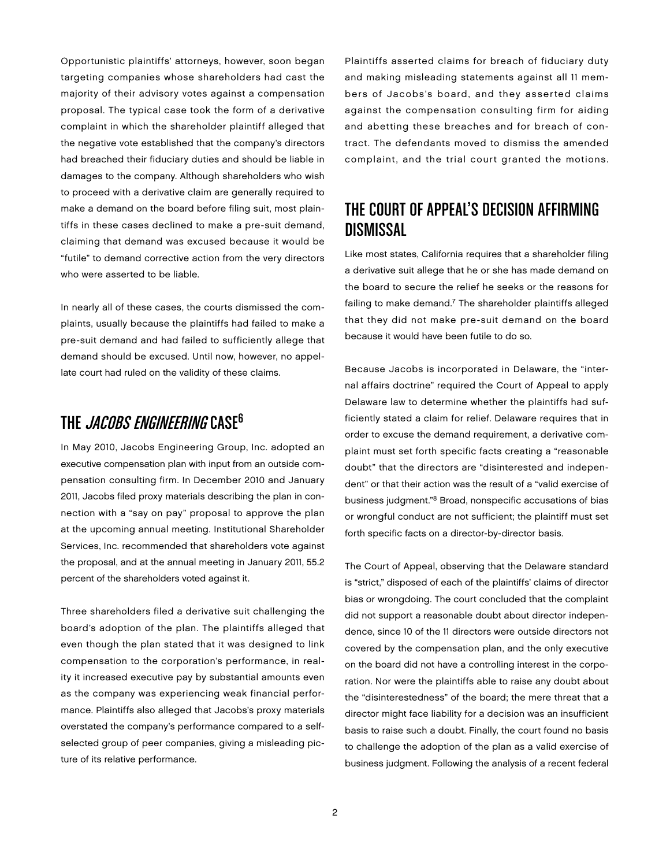Opportunistic plaintiffs' attorneys, however, soon began targeting companies whose shareholders had cast the majority of their advisory votes against a compensation proposal. The typical case took the form of a derivative complaint in which the shareholder plaintiff alleged that the negative vote established that the company's directors had breached their fiduciary duties and should be liable in damages to the company. Although shareholders who wish to proceed with a derivative claim are generally required to make a demand on the board before filing suit, most plaintiffs in these cases declined to make a pre-suit demand, claiming that demand was excused because it would be "futile" to demand corrective action from the very directors who were asserted to be liable.

In nearly all of these cases, the courts dismissed the complaints, usually because the plaintiffs had failed to make a pre-suit demand and had failed to sufficiently allege that demand should be excused. Until now, however, no appellate court had ruled on the validity of these claims.

### THE JACOBS ENGINEERING CASE<sup>6</sup>

In May 2010, Jacobs Engineering Group, Inc. adopted an executive compensation plan with input from an outside compensation consulting firm. In December 2010 and January 2011, Jacobs filed proxy materials describing the plan in connection with a "say on pay" proposal to approve the plan at the upcoming annual meeting. Institutional Shareholder Services, Inc. recommended that shareholders vote against the proposal, and at the annual meeting in January 2011, 55.2 percent of the shareholders voted against it.

Three shareholders filed a derivative suit challenging the board's adoption of the plan. The plaintiffs alleged that even though the plan stated that it was designed to link compensation to the corporation's performance, in reality it increased executive pay by substantial amounts even as the company was experiencing weak financial performance. Plaintiffs also alleged that Jacobs's proxy materials overstated the company's performance compared to a selfselected group of peer companies, giving a misleading picture of its relative performance.

Plaintiffs asserted claims for breach of fiduciary duty and making misleading statements against all 11 members of Jacobs's board, and they asserted claims against the compensation consulting firm for aiding and abetting these breaches and for breach of contract. The defendants moved to dismiss the amended complaint, and the trial court granted the motions.

## The Court of Appeal's Decision Affirming Dismissal

Like most states, California requires that a shareholder filing a derivative suit allege that he or she has made demand on the board to secure the relief he seeks or the reasons for failing to make demand.<sup>7</sup> The shareholder plaintiffs alleged that they did not make pre-suit demand on the board because it would have been futile to do so.

Because Jacobs is incorporated in Delaware, the "internal affairs doctrine" required the Court of Appeal to apply Delaware law to determine whether the plaintiffs had sufficiently stated a claim for relief. Delaware requires that in order to excuse the demand requirement, a derivative complaint must set forth specific facts creating a "reasonable doubt" that the directors are "disinterested and independent" or that their action was the result of a "valid exercise of business judgment."8 Broad, nonspecific accusations of bias or wrongful conduct are not sufficient; the plaintiff must set forth specific facts on a director-by-director basis.

The Court of Appeal, observing that the Delaware standard is "strict," disposed of each of the plaintiffs' claims of director bias or wrongdoing. The court concluded that the complaint did not support a reasonable doubt about director independence, since 10 of the 11 directors were outside directors not covered by the compensation plan, and the only executive on the board did not have a controlling interest in the corporation. Nor were the plaintiffs able to raise any doubt about the "disinterestedness" of the board; the mere threat that a director might face liability for a decision was an insufficient basis to raise such a doubt. Finally, the court found no basis to challenge the adoption of the plan as a valid exercise of business judgment. Following the analysis of a recent federal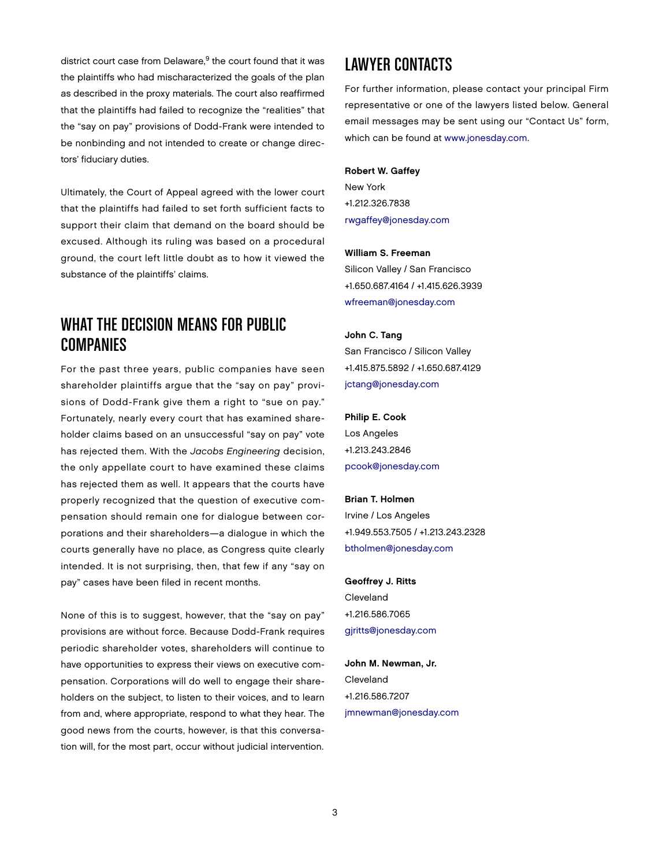district court case from Delaware,<sup>9</sup> the court found that it was the plaintiffs who had mischaracterized the goals of the plan as described in the proxy materials. The court also reaffirmed that the plaintiffs had failed to recognize the "realities" that the "say on pay" provisions of Dodd-Frank were intended to be nonbinding and not intended to create or change directors' fiduciary duties.

Ultimately, the Court of Appeal agreed with the lower court that the plaintiffs had failed to set forth sufficient facts to support their claim that demand on the board should be excused. Although its ruling was based on a procedural ground, the court left little doubt as to how it viewed the substance of the plaintiffs' claims.

### What the Decision Means for Public Companies

For the past three years, public companies have seen shareholder plaintiffs argue that the "say on pay" provisions of Dodd-Frank give them a right to "sue on pay." Fortunately, nearly every court that has examined shareholder claims based on an unsuccessful "say on pay" vote has rejected them. With the *Jacobs Engineering* decision, the only appellate court to have examined these claims has rejected them as well. It appears that the courts have properly recognized that the question of executive compensation should remain one for dialogue between corporations and their shareholders—a dialogue in which the courts generally have no place, as Congress quite clearly intended. It is not surprising, then, that few if any "say on pay" cases have been filed in recent months.

None of this is to suggest, however, that the "say on pay" provisions are without force. Because Dodd-Frank requires periodic shareholder votes, shareholders will continue to have opportunities to express their views on executive compensation. Corporations will do well to engage their shareholders on the subject, to listen to their voices, and to learn from and, where appropriate, respond to what they hear. The good news from the courts, however, is that this conversation will, for the most part, occur without judicial intervention.

### Lawyer Contacts

For further information, please contact your principal Firm representative or one of the lawyers listed below. General email messages may be sent using our "Contact Us" form, which can be found at [www.jonesday.com.](http://www.jonesday.com)

#### Robert W. Gaffey

New York +1.212.326.7838 [rwgaffey@jonesday.com](mailto:rwgaffey@jonesday.com)

#### William S. Freeman

Silicon Valley / San Francisco +1.650.687.4164 / +1.415.626.3939 [wfreeman@jonesday.com](mailto:wfreeman@jonesday.com)

#### John C. Tang

San Francisco / Silicon Valley +1.415.875.5892 / +1.650.687.4129 [jctang@jonesday.com](mailto:jctang@jonesday.com)

### Philip E. Cook Los Angeles +1.213.243.2846 [pcook@jonesday.com](mailto:pcook@jonesday.com)

#### Brian T. Holmen

Irvine / Los Angeles +1.949.553.7505 / +1.213.243.2328 [btholmen@jonesday.com](mailto:btholmen@jonesday.com)

### Geoffrey J. Ritts Cleveland +1.216.586.7065 [gjritts@jonesday.com](mailto:gjritts@jonesday.com)

John M. Newman, Jr. Cleveland +1.216.586.7207 [jmnewman@jonesday.com](mailto:jmnewman@jonesday.com)